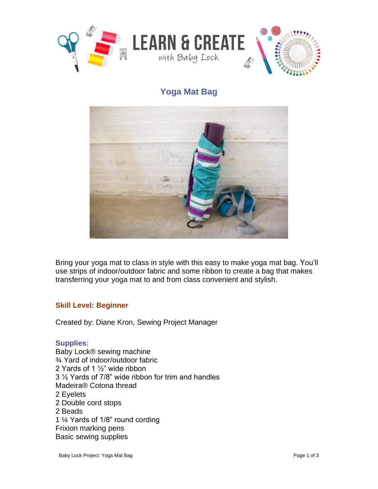

## **Yoga Mat Bag**



Bring your yoga mat to class in style with this easy to make yoga mat bag. You'll use strips of indoor/outdoor fabric and some ribbon to create a bag that makes transferring your yoga mat to and from class convenient and stylish.

## **Skill Level: Beginner**

Created by: Diane Kron, Sewing Project Manager

## **Supplies:**

Baby Lock® sewing machine ¾ Yard of indoor/outdoor fabric 2 Yards of 1 ½" wide ribbon 3 ½ Yards of 7/8" wide ribbon for trim and handles Madeira® Cotona thread 2 Eyelets 2 Double cord stops 2 Beads 1 ¼ Yards of 1/8" round cording Frixion marking pens Basic sewing supplies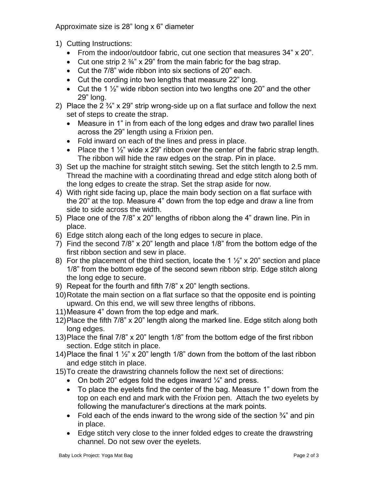Approximate size is 28" long x 6" diameter

- 1) Cutting Instructions:
	- From the indoor/outdoor fabric, cut one section that measures 34" x 20".
	- Cut one strip 2  $\frac{3}{4}$ " x 29" from the main fabric for the bag strap.
	- Cut the 7/8" wide ribbon into six sections of 20" each.
	- Cut the cording into two lengths that measure 22" long.
	- Cut the 1  $\frac{1}{2}$ " wide ribbon section into two lengths one 20" and the other 29" long.
- 2) Place the  $2\frac{3}{4}$  x 29" strip wrong-side up on a flat surface and follow the next set of steps to create the strap.
	- Measure in 1" in from each of the long edges and draw two parallel lines across the 29" length using a Frixion pen.
	- Fold inward on each of the lines and press in place.
	- Place the 1  $\frac{1}{2}$ " wide x 29" ribbon over the center of the fabric strap length. The ribbon will hide the raw edges on the strap. Pin in place.
- 3) Set up the machine for straight stitch sewing. Set the stitch length to 2.5 mm. Thread the machine with a coordinating thread and edge stitch along both of the long edges to create the strap. Set the strap aside for now.
- 4) With right side facing up, place the main body section on a flat surface with the 20" at the top. Measure 4" down from the top edge and draw a line from side to side across the width.
- 5) Place one of the 7/8" x 20" lengths of ribbon along the 4" drawn line. Pin in place.
- 6) Edge stitch along each of the long edges to secure in place.
- 7) Find the second 7/8" x 20" length and place 1/8" from the bottom edge of the first ribbon section and sew in place.
- 8) For the placement of the third section, locate the 1  $\frac{1}{2}$ " x 20" section and place 1/8" from the bottom edge of the second sewn ribbon strip. Edge stitch along the long edge to secure.
- 9) Repeat for the fourth and fifth 7/8" x 20" length sections.
- 10)Rotate the main section on a flat surface so that the opposite end is pointing upward. On this end, we will sew three lengths of ribbons.
- 11)Measure 4" down from the top edge and mark.
- 12)Place the fifth 7/8" x 20" length along the marked line. Edge stitch along both long edges.
- 13)Place the final 7/8" x 20" length 1/8" from the bottom edge of the first ribbon section. Edge stitch in place.
- 14)Place the final 1  $\frac{1}{2}$ " x 20" length 1/8" down from the bottom of the last ribbon and edge stitch in place.
- 15)To create the drawstring channels follow the next set of directions:
	- On both 20" edges fold the edges inward  $\frac{1}{4}$ " and press.
	- To place the eyelets find the center of the bag. Measure 1" down from the top on each end and mark with the Frixion pen. Attach the two eyelets by following the manufacturer's directions at the mark points.
	- Fold each of the ends inward to the wrong side of the section  $\frac{3}{4}$  and pin in place.
	- Edge stitch very close to the inner folded edges to create the drawstring channel. Do not sew over the eyelets.